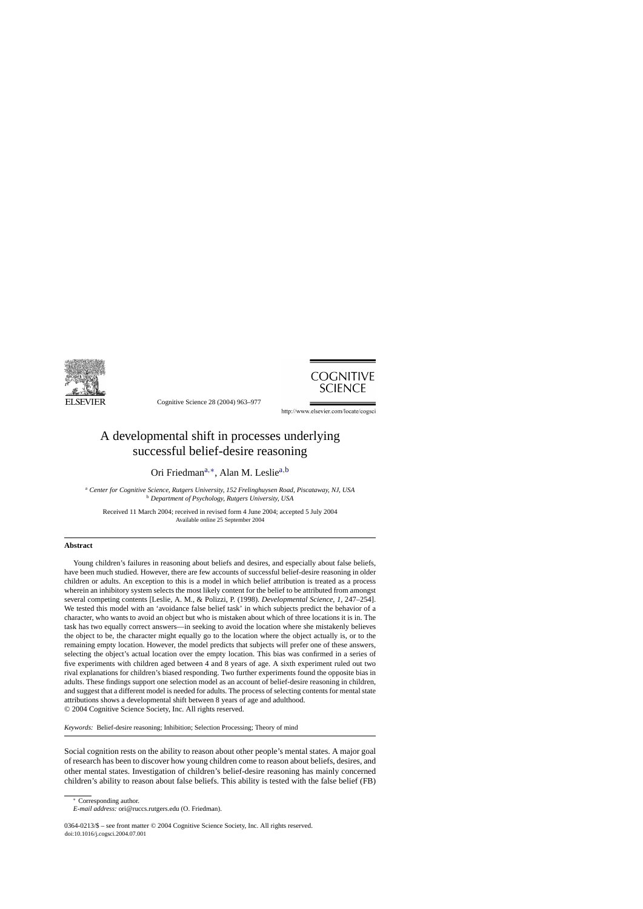

Cognitive Science 28 (2004) 963–977



http://www.elsevier.com/locate/cogsci

# A developmental shift in processes underlying successful belief-desire reasoning

Ori Friedmana,∗, Alan M. Lesliea,<sup>b</sup>

<sup>a</sup> *Center for Cognitive Science, Rutgers University, 152 Frelinghuysen Road, Piscataway, NJ, USA* <sup>b</sup> *Department of Psychology, Rutgers University, USA*

Received 11 March 2004; received in revised form 4 June 2004; accepted 5 July 2004 Available online 25 September 2004

#### **Abstract**

Young children's failures in reasoning about beliefs and desires, and especially about false beliefs, have been much studied. However, there are few accounts of successful belief-desire reasoning in older children or adults. An exception to this is a model in which belief attribution is treated as a process wherein an inhibitory system selects the most likely content for the belief to be attributed from amongst several competing contents [Leslie, A. M., & Polizzi, P. (1998). *Developmental Science, 1*, 247–254]. We tested this model with an 'avoidance false belief task' in which subjects predict the behavior of a character, who wants to avoid an object but who is mistaken about which of three locations it is in. The task has two equally correct answers—in seeking to avoid the location where she mistakenly believes the object to be, the character might equally go to the location where the object actually is, or to the remaining empty location. However, the model predicts that subjects will prefer one of these answers, selecting the object's actual location over the empty location. This bias was confirmed in a series of five experiments with children aged between 4 and 8 years of age. A sixth experiment ruled out two rival explanations for children's biased responding. Two further experiments found the opposite bias in adults. These findings support one selection model as an account of belief-desire reasoning in children, and suggest that a different model is needed for adults. The process of selecting contents for mental state attributions shows a developmental shift between 8 years of age and adulthood. © 2004 Cognitive Science Society, Inc. All rights reserved.

*Keywords:* Belief-desire reasoning; Inhibition; Selection Processing; Theory of mind

Social cognition rests on the ability to reason about other people's mental states. A major goal of research has been to discover how young children come to reason about beliefs, desires, and other mental states. Investigation of children's belief-desire reasoning has mainly concerned children's ability to reason about false beliefs. This ability is tested with the false belief (FB)

<sup>∗</sup> Corresponding author.

*E-mail address:* ori@ruccs.rutgers.edu (O. Friedman).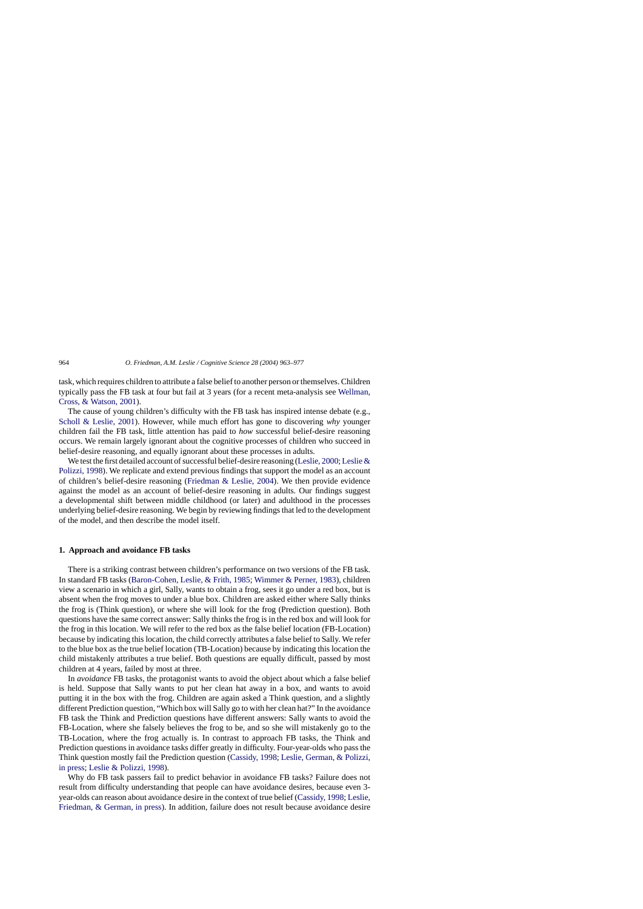task, which requires children to attribute a false belief to another person or themselves. Children typically pass the FB task at four but fail at 3 years (for a recent meta-analysis see [Wellman,](#page-14-0) Cross, & Watson, 2001).

The cause of young children's difficulty with the FB task has inspired intense debate (e.g., [Scholl & Leslie, 2001\)](#page-14-0). However, while much effort has gone to discovering *why* younger children fail the FB task, little attention has paid to *how* successful belief-desire reasoning occurs. We remain largely ignorant about the cognitive processes of children who succeed in belief-desire reasoning, and equally ignorant about these processes in adults.

We test the first detailed account of successful belief-desire reasoning [\(Leslie, 2000;](#page-14-0) [Leslie &](#page-14-0) Polizzi, 1998). We replicate and extend previous findings that support the model as an account of children's belief-desire reasoning [\(Friedman & Leslie, 2004\)](#page-14-0). We then provide evidence against the model as an account of belief-desire reasoning in adults. Our findings suggest a developmental shift between middle childhood (or later) and adulthood in the processes underlying belief-desire reasoning. We begin by reviewing findings that led to the development of the model, and then describe the model itself.

#### **1. Approach and avoidance FB tasks**

There is a striking contrast between children's performance on two versions of the FB task. In standard FB tasks [\(Baron-Cohen, Leslie, & Frith, 1985;](#page-14-0) [Wimmer & Perner, 1983\),](#page-14-0) children view a scenario in which a girl, Sally, wants to obtain a frog, sees it go under a red box, but is absent when the frog moves to under a blue box. Children are asked either where Sally thinks the frog is (Think question), or where she will look for the frog (Prediction question). Both questions have the same correct answer: Sally thinks the frog is in the red box and will look for the frog in this location. We will refer to the red box as the false belief location (FB-Location) because by indicating this location, the child correctly attributes a false belief to Sally. We refer to the blue box as the true belief location (TB-Location) because by indicating this location the child mistakenly attributes a true belief. Both questions are equally difficult, passed by most children at 4 years, failed by most at three.

In *avoidance* FB tasks, the protagonist wants to avoid the object about which a false belief is held. Suppose that Sally wants to put her clean hat away in a box, and wants to avoid putting it in the box with the frog. Children are again asked a Think question, and a slightly different Prediction question, "Which box will Sally go to with her clean hat?" In the avoidance FB task the Think and Prediction questions have different answers: Sally wants to avoid the FB-Location, where she falsely believes the frog to be, and so she will mistakenly go to the TB-Location, where the frog actually is. In contrast to approach FB tasks, the Think and Prediction questions in avoidance tasks differ greatly in difficulty. Four-year-olds who pass the Think question mostly fail the Prediction question ([Cassidy, 1998;](#page-14-0) [Leslie, German, & Polizzi,](#page-14-0) in press; [Leslie & Polizzi, 1998\).](#page-14-0)

Why do FB task passers fail to predict behavior in avoidance FB tasks? Failure does not result from difficulty understanding that people can have avoidance desires, because even 3 year-olds can reason about avoidance desire in the context of true belief ([Cassidy, 1998;](#page-14-0) [Leslie,](#page-14-0) Friedman, & German, in press). In addition, failure does not result because avoidance desire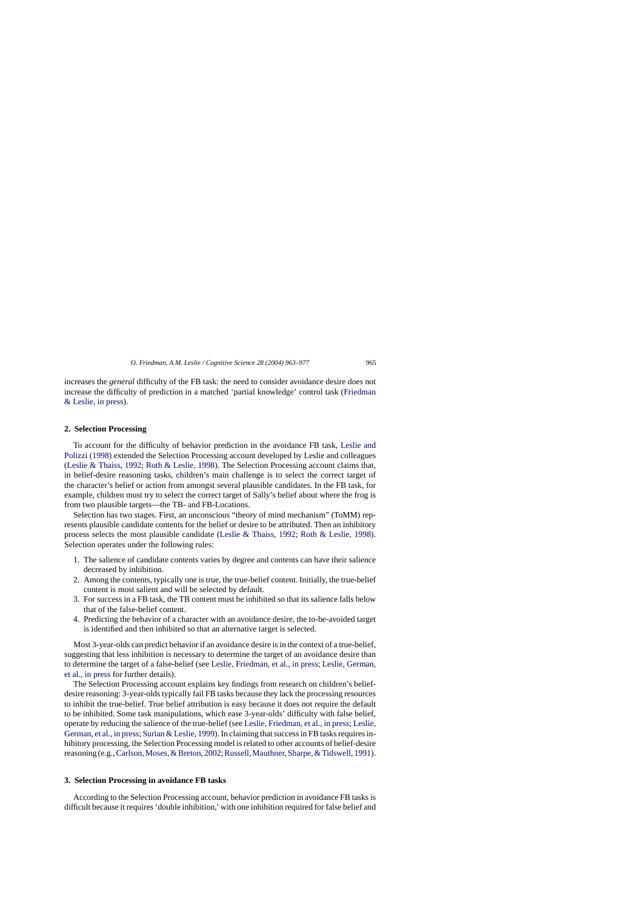increases the *general* difficulty of the FB task: the need to consider avoidance desire does not increase the difficulty of prediction in a matched 'partial knowledge' control task [\(Friedman](#page-14-0) & Leslie, in press).

## **2. Selection Processing**

To account for the difficulty of behavior prediction in the avoidance FB task, [Leslie and](#page-14-0) Polizzi (1998) extended the Selection Processing account developed by Leslie and colleagues ([Leslie & Thaiss, 1992;](#page-14-0) [Roth & Leslie, 1998\).](#page-14-0) The Selection Processing account claims that, in belief-desire reasoning tasks, children's main challenge is to select the correct target of the character's belief or action from amongst several plausible candidates. In the FB task, for example, children must try to select the correct target of Sally's belief about where the frog is from two plausible targets—the TB- and FB-Locations.

Selection has two stages. First, an unconscious "theory of mind mechanism" (ToMM) represents plausible candidate contents for the belief or desire to be attributed. Then an inhibitory process selects the most plausible candidate ([Leslie & Thaiss, 1992;](#page-14-0) [Roth & Leslie, 1998\)](#page-14-0). Selection operates under the following rules:

- 1. The salience of candidate contents varies by degree and contents can have their salience decreased by inhibition.
- 2. Among the contents, typically one is true, the true-belief content. Initially, the true-belief content is most salient and will be selected by default.
- 3. For success in a FB task, the TB content must be inhibited so that its salience falls below that of the false-belief content.
- 4. Predicting the behavior of a character with an avoidance desire, the to-be-avoided target is identified and then inhibited so that an alternative target is selected.

Most 3-year-olds can predict behavior if an avoidance desire is in the context of a true-belief, suggesting that less inhibition is necessary to determine the target of an avoidance desire than to determine the target of a false-belief (see [Leslie, Friedman, et al., in press;](#page-14-0) [Leslie, German,](#page-14-0) et al., in press for further details).

The Selection Processing account explains key findings from research on children's beliefdesire reasoning: 3-year-olds typically fail FB tasks because they lack the processing resources to inhibit the true-belief. True belief attribution is easy because it does not require the default to be inhibited. Some task manipulations, which ease 3-year-olds' difficulty with false belief, operate by reducing the salience of the true-belief (see [Leslie, Friedman, et al., in press;](#page-14-0) [Leslie,](#page-14-0) German, et al., in press; [Surian & Leslie, 1999\).](#page-14-0) In claiming that success in FB tasks requires inhibitory processing, the Selection Processing model is related to other accounts of belief-desire reasoning (e.g., Carlson, Moses, & Breton, 2002; Russell, Mauthner, Sharpe, & Tidswell, 1991).

## **3. Selection Processing in avoidance FB tasks**

According to the Selection Processing account, behavior prediction in avoidance FB tasks is difficult because it requires 'double inhibition,' with one inhibition required for false belief and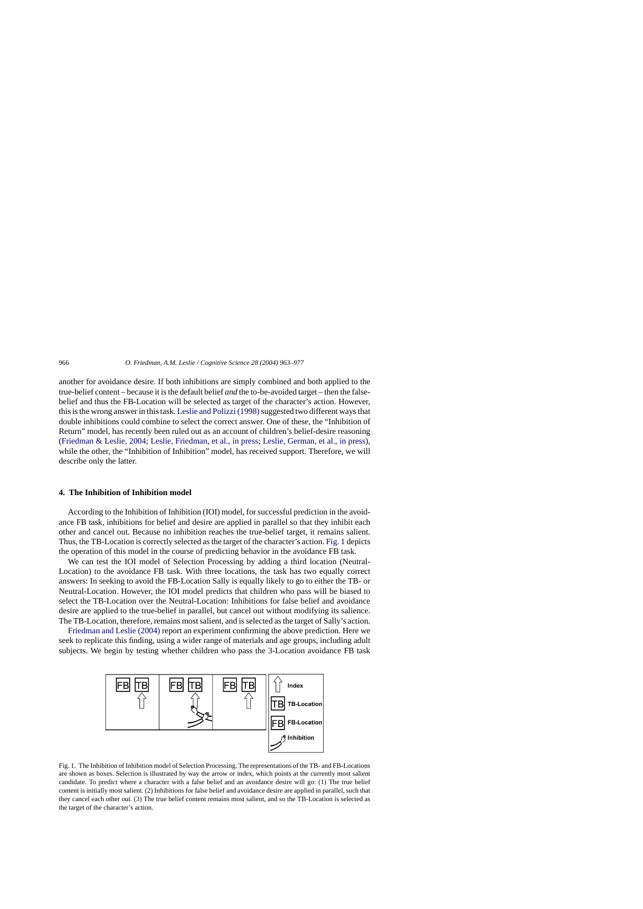another for avoidance desire. If both inhibitions are simply combined and both applied to the true-belief content – because it is the default belief *and* the to-be-avoided target – then the falsebelief and thus the FB-Location will be selected as target of the character's action. However, this is the wrong answer in this task. Leslie and Polizzi (1998) suggested two different ways that double inhibitions could combine to select the correct answer. One of these, the "Inhibition of Return" model, has recently been ruled out as an account of children's belief-desire reasoning ([Friedman & Leslie, 2004;](#page-14-0) [Leslie, Friedman, et al., in press;](#page-14-0) [Leslie, German, et al., in press\),](#page-14-0) while the other, the "Inhibition of Inhibition" model, has received support. Therefore, we will describe only the latter.

# **4. The Inhibition of Inhibition model**

According to the Inhibition of Inhibition (IOI) model, for successful prediction in the avoidance FB task, inhibitions for belief and desire are applied in parallel so that they inhibit each other and cancel out. Because no inhibition reaches the true-belief target, it remains salient. Thus, the TB-Location is correctly selected as the target of the character's action. Fig. 1 depicts the operation of this model in the course of predicting behavior in the avoidance FB task.

We can test the IOI model of Selection Processing by adding a third location (Neutral-Location) to the avoidance FB task. With three locations, the task has two equally correct answers: In seeking to avoid the FB-Location Sally is equally likely to go to either the TB- or Neutral-Location. However, the IOI model predicts that children who pass will be biased to select the TB-Location over the Neutral-Location: Inhibitions for false belief and avoidance desire are applied to the true-belief in parallel, but cancel out without modifying its salience. The TB-Location, therefore, remains most salient, and is selected as the target of Sally's action.

[Friedman and Leslie \(2004\)](#page-14-0) report an experiment confirming the above prediction. Here we seek to replicate this finding, using a wider range of materials and age groups, including adult subjects. We begin by testing whether children who pass the 3-Location avoidance FB task



Fig. 1. The Inhibition of Inhibition model of Selection Processing. The representations of the TB- and FB-Locations are shown as boxes. Selection is illustrated by way the arrow or index, which points at the currently most salient candidate. To predict where a character with a false belief and an avoidance desire will go: (1) The true belief content is initially most salient. (2) Inhibitions for false belief and avoidance desire are applied in parallel, such that they cancel each other out. (3) The true belief content remains most salient, and so the TB-Location is selected as the target of the character's action.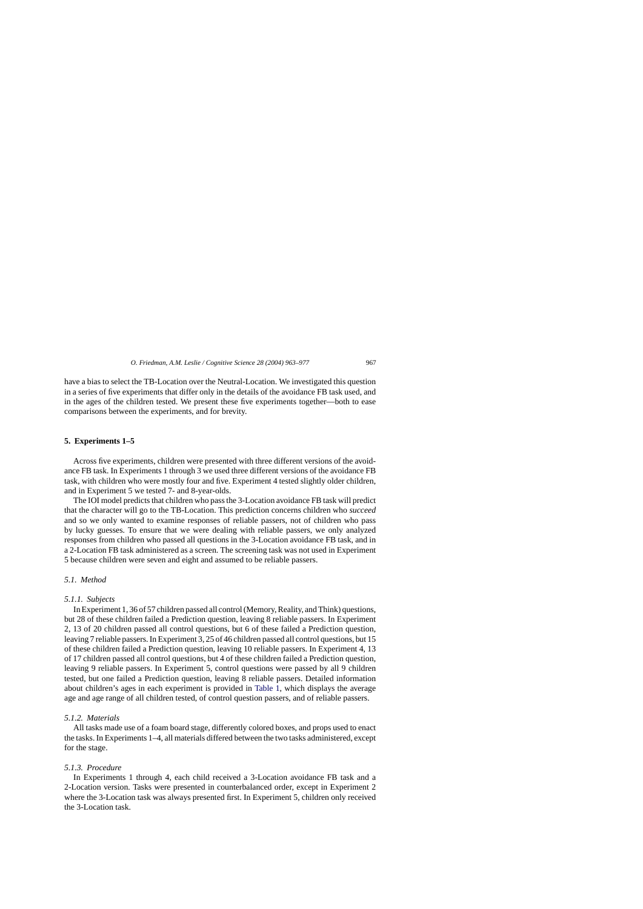have a bias to select the TB-Location over the Neutral-Location. We investigated this question in a series of five experiments that differ only in the details of the avoidance FB task used, and in the ages of the children tested. We present these five experiments together—both to ease comparisons between the experiments, and for brevity.

#### **5. Experiments 1–5**

Across five experiments, children were presented with three different versions of the avoidance FB task. In Experiments 1 through 3 we used three different versions of the avoidance FB task, with children who were mostly four and five. Experiment 4 tested slightly older children, and in Experiment 5 we tested 7- and 8-year-olds.

The IOI model predicts that children who pass the 3-Location avoidance FB task will predict that the character will go to the TB-Location. This prediction concerns children who *succeed* and so we only wanted to examine responses of reliable passers, not of children who pass by lucky guesses. To ensure that we were dealing with reliable passers, we only analyzed responses from children who passed all questions in the 3-Location avoidance FB task, and in a 2-Location FB task administered as a screen. The screening task was not used in Experiment 5 because children were seven and eight and assumed to be reliable passers.

# *5.1. Method*

#### *5.1.1. Subjects*

In Experiment 1, 36 of 57 children passed all control (Memory, Reality, and Think) questions, but 28 of these children failed a Prediction question, leaving 8 reliable passers. In Experiment 2, 13 of 20 children passed all control questions, but 6 of these failed a Prediction question, leaving 7 reliable passers. In Experiment 3, 25 of 46 children passed all control questions, but 15 of these children failed a Prediction question, leaving 10 reliable passers. In Experiment 4, 13 of 17 children passed all control questions, but 4 of these children failed a Prediction question, leaving 9 reliable passers. In Experiment 5, control questions were passed by all 9 children tested, but one failed a Prediction question, leaving 8 reliable passers. Detailed information about children's ages in each experiment is provided in [Table 1,](#page-5-0) which displays the average age and age range of all children tested, of control question passers, and of reliable passers.

#### *5.1.2. Materials*

All tasks made use of a foam board stage, differently colored boxes, and props used to enact the tasks. In Experiments 1–4, all materials differed between the two tasks administered, except for the stage.

# *5.1.3. Procedure*

In Experiments 1 through 4, each child received a 3-Location avoidance FB task and a 2-Location version. Tasks were presented in counterbalanced order, except in Experiment 2 where the 3-Location task was always presented first. In Experiment 5, children only received the 3-Location task.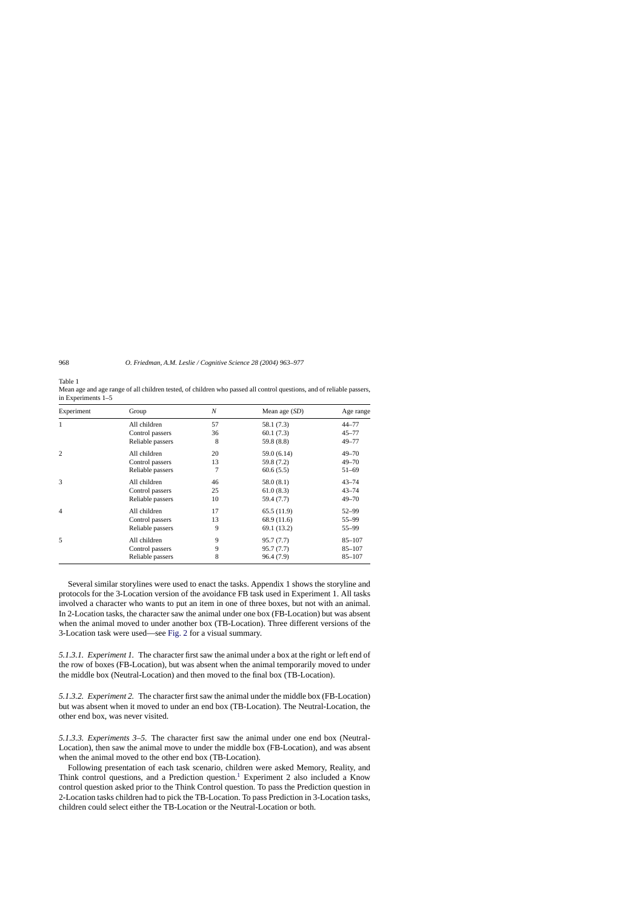<span id="page-5-0"></span>Table 1

| Experiment     | Group            | N  | Mean age $(SD)$ | Age range  |
|----------------|------------------|----|-----------------|------------|
| 1              | All children     | 57 | 58.1 (7.3)      | $44 - 77$  |
|                | Control passers  | 36 | 60.1(7.3)       | $45 - 77$  |
|                | Reliable passers | 8  | 59.8 (8.8)      | $49 - 77$  |
| $\overline{2}$ | All children     | 20 | 59.0 (6.14)     | $49 - 70$  |
|                | Control passers  | 13 | 59.8 (7.2)      | $49 - 70$  |
|                | Reliable passers | 7  | 60.6(5.5)       | $51 - 69$  |
| 3              | All children     | 46 | 58.0 (8.1)      | $43 - 74$  |
|                | Control passers  | 25 | 61.0(8.3)       | $43 - 74$  |
|                | Reliable passers | 10 | 59.4 (7.7)      | $49 - 70$  |
| $\overline{4}$ | All children     | 17 | 65.5(11.9)      | 52–99      |
|                | Control passers  | 13 | 68.9 (11.6)     | 55-99      |
|                | Reliable passers | 9  | 69.1 (13.2)     | 55–99      |
| 5              | All children     | 9  | 95.7 (7.7)      | $85 - 107$ |
|                | Control passers  | 9  | 95.7 (7.7)      | $85 - 107$ |
|                | Reliable passers | 8  | 96.4 (7.9)      | $85 - 107$ |

Mean age and age range of all children tested, of children who passed all control questions, and of reliable passers, in Experiments 1–5

Several similar storylines were used to enact the tasks. Appendix 1 shows the storyline and protocols for the 3-Location version of the avoidance FB task used in Experiment 1. All tasks involved a character who wants to put an item in one of three boxes, but not with an animal. In 2-Location tasks, the character saw the animal under one box (FB-Location) but was absent when the animal moved to under another box (TB-Location). Three different versions of the 3-Location task were used—see [Fig. 2](#page-6-0) for a visual summary.

*5.1.3.1. Experiment 1.* The character first saw the animal under a box at the right or left end of the row of boxes (FB-Location), but was absent when the animal temporarily moved to under the middle box (Neutral-Location) and then moved to the final box (TB-Location).

*5.1.3.2. Experiment 2.* The character first saw the animal under the middle box (FB-Location) but was absent when it moved to under an end box (TB-Location). The Neutral-Location, the other end box, was never visited.

*5.1.3.3. Experiments 3–5.* The character first saw the animal under one end box (Neutral-Location), then saw the animal move to under the middle box (FB-Location), and was absent when the animal moved to the other end box (TB-Location).

Following presentation of each task scenario, children were asked Memory, Reality, and Think control questions, and a Prediction question.<sup>[1](#page-12-0)</sup> Experiment 2 also included a Know control question asked prior to the Think Control question. To pass the Prediction question in 2-Location tasks children had to pick the TB-Location. To pass Prediction in 3-Location tasks, children could select either the TB-Location or the Neutral-Location or both.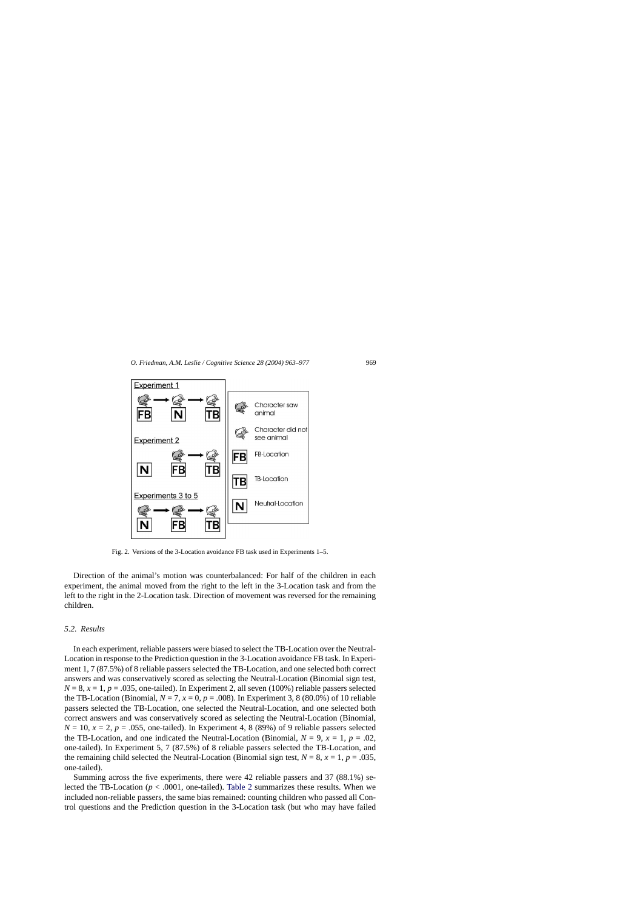<span id="page-6-0"></span>

Fig. 2. Versions of the 3-Location avoidance FB task used in Experiments 1–5.

Direction of the animal's motion was counterbalanced: For half of the children in each experiment, the animal moved from the right to the left in the 3-Location task and from the left to the right in the 2-Location task. Direction of movement was reversed for the remaining children.

#### *5.2. Results*

In each experiment, reliable passers were biased to select the TB-Location over the Neutral-Location in response to the Prediction question in the 3-Location avoidance FB task. In Experiment 1, 7 (87.5%) of 8 reliable passers selected the TB-Location, and one selected both correct answers and was conservatively scored as selecting the Neutral-Location (Binomial sign test,  $N = 8$ ,  $x = 1$ ,  $p = .035$ , one-tailed). In Experiment 2, all seven (100%) reliable passers selected the TB-Location (Binomial,  $N = 7$ ,  $x = 0$ ,  $p = .008$ ). In Experiment 3, 8 (80.0%) of 10 reliable passers selected the TB-Location, one selected the Neutral-Location, and one selected both correct answers and was conservatively scored as selecting the Neutral-Location (Binomial,  $N = 10$ ,  $x = 2$ ,  $p = 0.055$ , one-tailed). In Experiment 4, 8 (89%) of 9 reliable passers selected the TB-Location, and one indicated the Neutral-Location (Binomial,  $N = 9$ ,  $x = 1$ ,  $p = .02$ , one-tailed). In Experiment 5, 7 (87.5%) of 8 reliable passers selected the TB-Location, and the remaining child selected the Neutral-Location (Binomial sign test,  $N = 8$ ,  $x = 1$ ,  $p = .035$ , one-tailed).

Summing across the five experiments, there were 42 reliable passers and 37 (88.1%) selected the TB-Location ( $p < .0001$ , one-tailed). [Table 2](#page-7-0) summarizes these results. When we included non-reliable passers, the same bias remained: counting children who passed all Control questions and the Prediction question in the 3-Location task (but who may have failed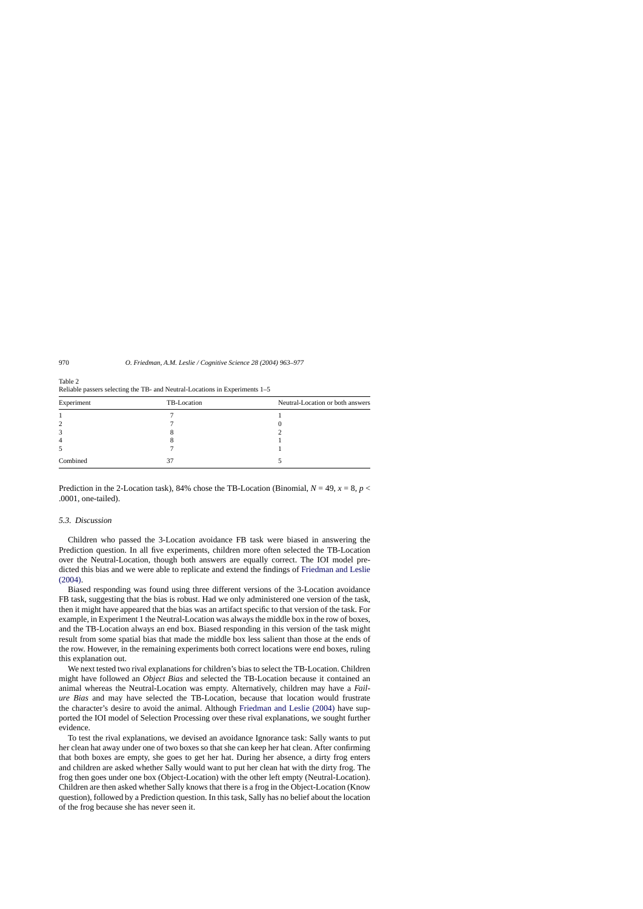| Experiment     | TB-Location | Neutral-Location or both answers |
|----------------|-------------|----------------------------------|
|                |             |                                  |
| 2              |             |                                  |
| 3              |             |                                  |
| $\overline{4}$ |             |                                  |
| 5              |             |                                  |
| Combined       |             |                                  |

<span id="page-7-0"></span>Table 2 Reliable passers selecting the TB- and Neutral-Locations in Experiments 1–5

Prediction in the 2-Location task), 84% chose the TB-Location (Binomial,  $N = 49$ ,  $x = 8$ ,  $p <$ .0001, one-tailed).

### *5.3. Discussion*

Children who passed the 3-Location avoidance FB task were biased in answering the Prediction question. In all five experiments, children more often selected the TB-Location over the Neutral-Location, though both answers are equally correct. The IOI model predicted this bias and we were able to replicate and extend the findings of [Friedman and Leslie](#page-14-0)  $(2004)$ .

Biased responding was found using three different versions of the 3-Location avoidance FB task, suggesting that the bias is robust. Had we only administered one version of the task, then it might have appeared that the bias was an artifact specific to that version of the task. For example, in Experiment 1 the Neutral-Location was always the middle box in the row of boxes, and the TB-Location always an end box. Biased responding in this version of the task might result from some spatial bias that made the middle box less salient than those at the ends of the row. However, in the remaining experiments both correct locations were end boxes, ruling this explanation out.

We next tested two rival explanations for children's bias to select the TB-Location. Children might have followed an *Object Bias* and selected the TB-Location because it contained an animal whereas the Neutral-Location was empty. Alternatively, children may have a *Failure Bias* and may have selected the TB-Location, because that location would frustrate the character's desire to avoid the animal. Although [Friedman and Leslie \(2004\)](#page-14-0) have supported the IOI model of Selection Processing over these rival explanations, we sought further evidence.

To test the rival explanations, we devised an avoidance Ignorance task: Sally wants to put her clean hat away under one of two boxes so that she can keep her hat clean. After confirming that both boxes are empty, she goes to get her hat. During her absence, a dirty frog enters and children are asked whether Sally would want to put her clean hat with the dirty frog. The frog then goes under one box (Object-Location) with the other left empty (Neutral-Location). Children are then asked whether Sally knows that there is a frog in the Object-Location (Know question), followed by a Prediction question. In this task, Sally has no belief about the location of the frog because she has never seen it.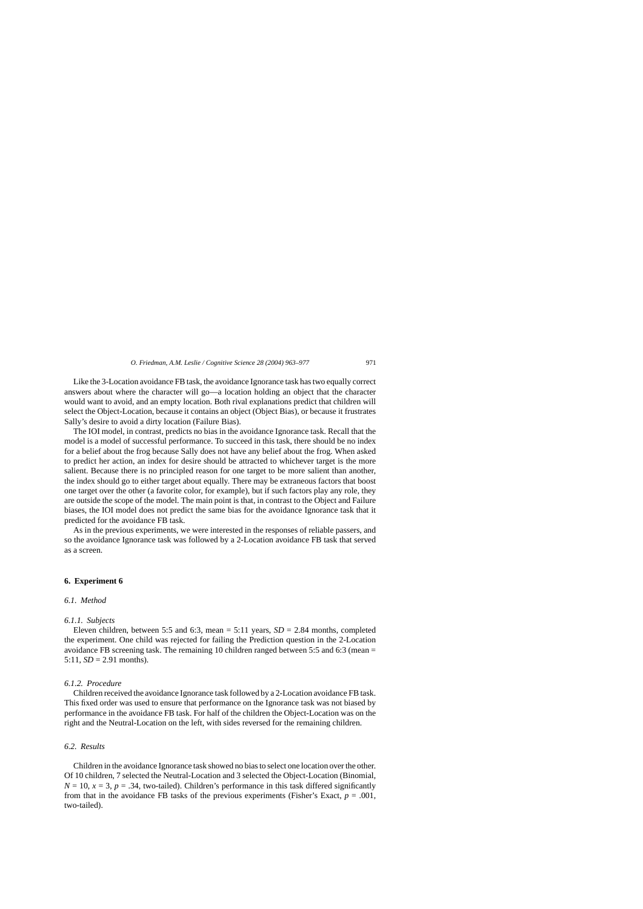Like the 3-Location avoidance FB task, the avoidance Ignorance task has two equally correct answers about where the character will go—a location holding an object that the character would want to avoid, and an empty location. Both rival explanations predict that children will select the Object-Location, because it contains an object (Object Bias), or because it frustrates Sally's desire to avoid a dirty location (Failure Bias).

The IOI model, in contrast, predicts no bias in the avoidance Ignorance task. Recall that the model is a model of successful performance. To succeed in this task, there should be no index for a belief about the frog because Sally does not have any belief about the frog. When asked to predict her action, an index for desire should be attracted to whichever target is the more salient. Because there is no principled reason for one target to be more salient than another, the index should go to either target about equally. There may be extraneous factors that boost one target over the other (a favorite color, for example), but if such factors play any role, they are outside the scope of the model. The main point is that, in contrast to the Object and Failure biases, the IOI model does not predict the same bias for the avoidance Ignorance task that it predicted for the avoidance FB task.

As in the previous experiments, we were interested in the responses of reliable passers, and so the avoidance Ignorance task was followed by a 2-Location avoidance FB task that served as a screen.

#### **6. Experiment 6**

### *6.1. Method*

#### *6.1.1. Subjects*

Eleven children, between 5:5 and 6:3, mean  $= 5:11$  years,  $SD = 2.84$  months, completed the experiment. One child was rejected for failing the Prediction question in the 2-Location avoidance FB screening task. The remaining 10 children ranged between 5:5 and 6:3 (mean = 5:11,  $SD = 2.91$  months).

# *6.1.2. Procedure*

Children received the avoidance Ignorance task followed by a 2-Location avoidance FB task. This fixed order was used to ensure that performance on the Ignorance task was not biased by performance in the avoidance FB task. For half of the children the Object-Location was on the right and the Neutral-Location on the left, with sides reversed for the remaining children.

#### *6.2. Results*

Children in the avoidance Ignorance task showed no bias to select one location over the other. Of 10 children, 7 selected the Neutral-Location and 3 selected the Object-Location (Binomial,  $N = 10$ ,  $x = 3$ ,  $p = 0.34$ , two-tailed). Children's performance in this task differed significantly from that in the avoidance FB tasks of the previous experiments (Fisher's Exact,  $p = .001$ , two-tailed).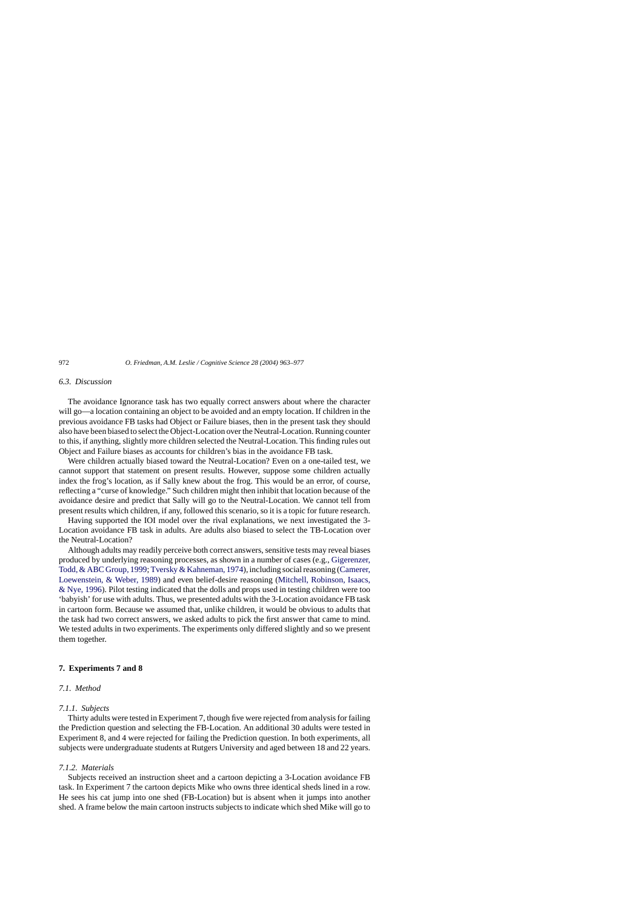# *6.3. Discussion*

The avoidance Ignorance task has two equally correct answers about where the character will go—a location containing an object to be avoided and an empty location. If children in the previous avoidance FB tasks had Object or Failure biases, then in the present task they should also have been biased to select the Object-Location over the Neutral-Location. Running counter to this, if anything, slightly more children selected the Neutral-Location. This finding rules out Object and Failure biases as accounts for children's bias in the avoidance FB task.

Were children actually biased toward the Neutral-Location? Even on a one-tailed test, we cannot support that statement on present results. However, suppose some children actually index the frog's location, as if Sally knew about the frog. This would be an error, of course, reflecting a "curse of knowledge." Such children might then inhibit that location because of the avoidance desire and predict that Sally will go to the Neutral-Location. We cannot tell from present results which children, if any, followed this scenario, so it is a topic for future research.

Having supported the IOI model over the rival explanations, we next investigated the 3- Location avoidance FB task in adults. Are adults also biased to select the TB-Location over the Neutral-Location?

Although adults may readily perceive both correct answers, sensitive tests may reveal biases produced by underlying reasoning processes, as shown in a number of cases (e.g., [Gigerenzer,](#page-14-0) Todd, & ABC Group, 1999; [Tversky & Kahneman, 1974\), i](#page-14-0)ncluding social reasoning [\(Camerer,](#page-14-0) Loewenstein, & Weber, 1989) and even belief-desire reasoning [\(Mitchell, Robinson, Isaacs,](#page-14-0) & Nye, 1996). Pilot testing indicated that the dolls and props used in testing children were too 'babyish' for use with adults. Thus, we presented adults with the 3-Location avoidance FB task in cartoon form. Because we assumed that, unlike children, it would be obvious to adults that the task had two correct answers, we asked adults to pick the first answer that came to mind. We tested adults in two experiments. The experiments only differed slightly and so we present them together.

#### **7. Experiments 7 and 8**

# *7.1. Method*

# *7.1.1. Subjects*

Thirty adults were tested in Experiment 7, though five were rejected from analysis for failing the Prediction question and selecting the FB-Location. An additional 30 adults were tested in Experiment 8, and 4 were rejected for failing the Prediction question. In both experiments, all subjects were undergraduate students at Rutgers University and aged between 18 and 22 years.

### *7.1.2. Materials*

Subjects received an instruction sheet and a cartoon depicting a 3-Location avoidance FB task. In Experiment 7 the cartoon depicts Mike who owns three identical sheds lined in a row. He sees his cat jump into one shed (FB-Location) but is absent when it jumps into another shed. A frame below the main cartoon instructs subjects to indicate which shed Mike will go to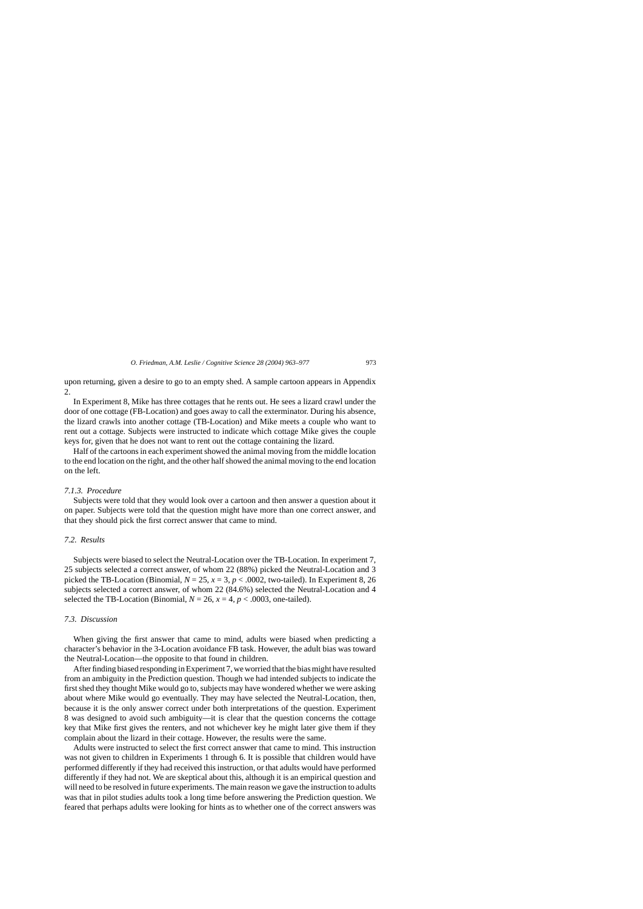upon returning, given a desire to go to an empty shed. A sample cartoon appears in Appendix 2.

In Experiment 8, Mike has three cottages that he rents out. He sees a lizard crawl under the door of one cottage (FB-Location) and goes away to call the exterminator. During his absence, the lizard crawls into another cottage (TB-Location) and Mike meets a couple who want to rent out a cottage. Subjects were instructed to indicate which cottage Mike gives the couple keys for, given that he does not want to rent out the cottage containing the lizard.

Half of the cartoons in each experiment showed the animal moving from the middle location to the end location on the right, and the other half showed the animal moving to the end location on the left.

#### *7.1.3. Procedure*

Subjects were told that they would look over a cartoon and then answer a question about it on paper. Subjects were told that the question might have more than one correct answer, and that they should pick the first correct answer that came to mind.

# *7.2. Results*

Subjects were biased to select the Neutral-Location over the TB-Location. In experiment 7, 25 subjects selected a correct answer, of whom 22 (88%) picked the Neutral-Location and 3 picked the TB-Location (Binomial,  $N = 25$ ,  $x = 3$ ,  $p < .0002$ , two-tailed). In Experiment 8, 26 subjects selected a correct answer, of whom 22 (84.6%) selected the Neutral-Location and 4 selected the TB-Location (Binomial,  $N = 26$ ,  $x = 4$ ,  $p < .0003$ , one-tailed).

# *7.3. Discussion*

When giving the first answer that came to mind, adults were biased when predicting a character's behavior in the 3-Location avoidance FB task. However, the adult bias was toward the Neutral-Location—the opposite to that found in children.

After finding biased responding in Experiment 7, we worried that the bias might have resulted from an ambiguity in the Prediction question. Though we had intended subjects to indicate the first shed they thought Mike would go to, subjects may have wondered whether we were asking about where Mike would go eventually. They may have selected the Neutral-Location, then, because it is the only answer correct under both interpretations of the question. Experiment 8 was designed to avoid such ambiguity—it is clear that the question concerns the cottage key that Mike first gives the renters, and not whichever key he might later give them if they complain about the lizard in their cottage. However, the results were the same.

Adults were instructed to select the first correct answer that came to mind. This instruction was not given to children in Experiments 1 through 6. It is possible that children would have performed differently if they had received this instruction, or that adults would have performed differently if they had not. We are skeptical about this, although it is an empirical question and will need to be resolved in future experiments. The main reason we gave the instruction to adults was that in pilot studies adults took a long time before answering the Prediction question. We feared that perhaps adults were looking for hints as to whether one of the correct answers was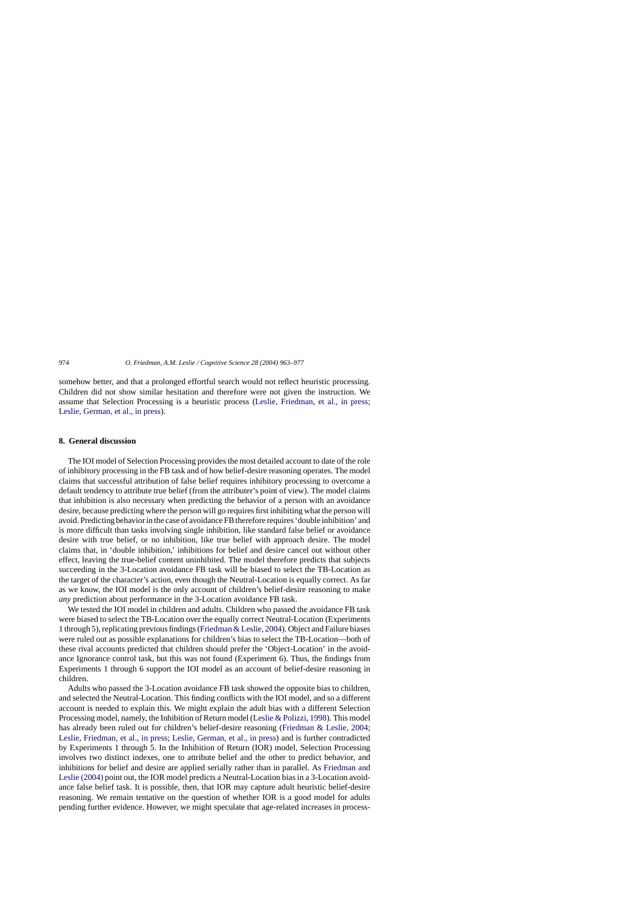somehow better, and that a prolonged effortful search would not reflect heuristic processing. Children did not show similar hesitation and therefore were not given the instruction. We assume that Selection Processing is a heuristic process [\(Leslie, Friedman, et al., in press](#page-14-0); [Leslie, German, et al., in press\).](#page-14-0)

# **8. General discussion**

The IOI model of Selection Processing provides the most detailed account to date of the role of inhibitory processing in the FB task and of how belief-desire reasoning operates. The model claims that successful attribution of false belief requires inhibitory processing to overcome a default tendency to attribute true belief (from the attributer's point of view). The model claims that inhibition is also necessary when predicting the behavior of a person with an avoidance desire, because predicting where the person will go requires first inhibiting what the person will avoid. Predicting behavior in the case of avoidance FB therefore requires 'double inhibition' and is more difficult than tasks involving single inhibition, like standard false belief or avoidance desire with true belief, or no inhibition, like true belief with approach desire. The model claims that, in 'double inhibition,' inhibitions for belief and desire cancel out without other effect, leaving the true-belief content uninhibited. The model therefore predicts that subjects succeeding in the 3-Location avoidance FB task will be biased to select the TB-Location as the target of the character's action, even though the Neutral-Location is equally correct. As far as we know, the IOI model is the only account of children's belief-desire reasoning to make *any* prediction about performance in the 3-Location avoidance FB task.

We tested the IOI model in children and adults. Children who passed the avoidance FB task were biased to select the TB-Location over the equally correct Neutral-Location (Experiments 1 through 5), replicating previous findings [\(Friedman & Leslie, 2004\).](#page-14-0) Object and Failure biases were ruled out as possible explanations for children's bias to select the TB-Location—both of these rival accounts predicted that children should prefer the 'Object-Location' in the avoidance Ignorance control task, but this was not found (Experiment 6). Thus, the findings from Experiments 1 through 6 support the IOI model as an account of belief-desire reasoning in children.

Adults who passed the 3-Location avoidance FB task showed the opposite bias to children, and selected the Neutral-Location. This finding conflicts with the IOI model, and so a different account is needed to explain this. We might explain the adult bias with a different Selection Processing model, namely, the Inhibition of Return model ([Leslie & Polizzi, 1998\).](#page-14-0) This model has already been ruled out for children's belief-desire reasoning ([Friedman & Leslie, 2004;](#page-14-0) [Leslie, Friedman, et al., in press;](#page-14-0) [Leslie, German, et al., in press\)](#page-14-0) and is further contradicted by Experiments 1 through 5. In the Inhibition of Return (IOR) model, Selection Processing involves two distinct indexes, one to attribute belief and the other to predict behavior, and inhibitions for belief and desire are applied serially rather than in parallel. As [Friedman and](#page-14-0) Leslie (2004) point out, the IOR model predicts a Neutral-Location bias in a 3-Location avoidance false belief task. It is possible, then, that IOR may capture adult heuristic belief-desire reasoning. We remain tentative on the question of whether IOR is a good model for adults pending further evidence. However, we might speculate that age-related increases in process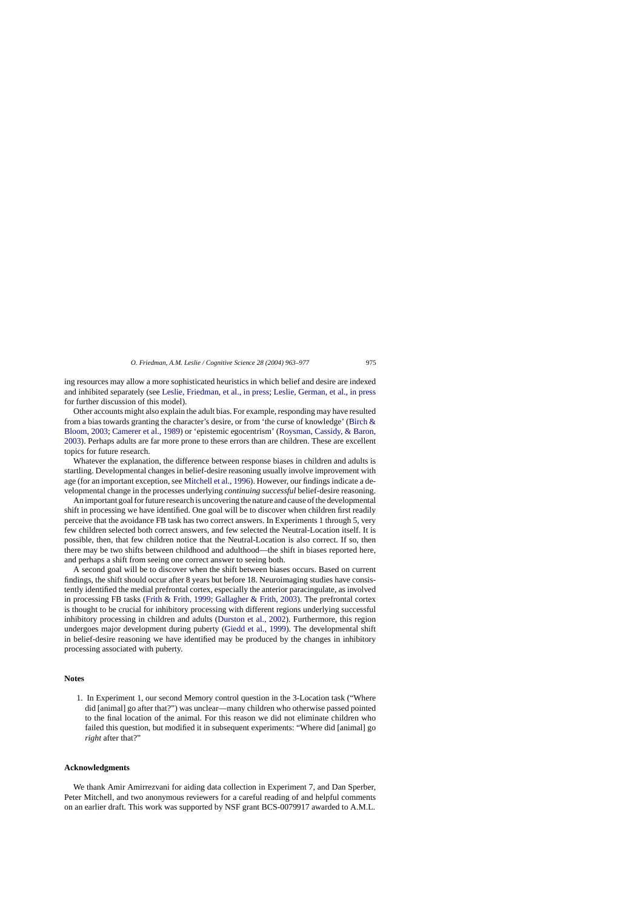<span id="page-12-0"></span>ing resources may allow a more sophisticated heuristics in which belief and desire are indexed and inhibited separately (see [Leslie, Friedman, et al., in press;](#page-14-0) [Leslie, German, et al., in press](#page-14-0) for further discussion of this model).

Other accounts might also explain the adult bias. For example, responding may have resulted from a bias towards granting the character's desire, or from 'the curse of knowledge' [\(Birch &](#page-14-0) Bloom, 2003; [Camerer et al., 1989\)](#page-14-0) or 'epistemic egocentrism' ([Roysman, Cassidy, & Baron,](#page-14-0) 2003). Perhaps adults are far more prone to these errors than are children. These are excellent topics for future research.

Whatever the explanation, the difference between response biases in children and adults is startling. Developmental changes in belief-desire reasoning usually involve improvement with age (for an important exception, see [Mitchell et al., 1996\).](#page-14-0) However, our findings indicate a developmental change in the processes underlying *continuing successful* belief-desire reasoning.

An important goal for future research is uncovering the nature and cause of the developmental shift in processing we have identified. One goal will be to discover when children first readily perceive that the avoidance FB task has two correct answers. In Experiments 1 through 5, very few children selected both correct answers, and few selected the Neutral-Location itself. It is possible, then, that few children notice that the Neutral-Location is also correct. If so, then there may be two shifts between childhood and adulthood—the shift in biases reported here, and perhaps a shift from seeing one correct answer to seeing both.

A second goal will be to discover when the shift between biases occurs. Based on current findings, the shift should occur after 8 years but before 18. Neuroimaging studies have consistently identified the medial prefrontal cortex, especially the anterior paracingulate, as involved in processing FB tasks [\(Frith & Frith, 1999;](#page-14-0) [Gallagher & Frith, 2003\).](#page-14-0) The prefrontal cortex is thought to be crucial for inhibitory processing with different regions underlying successful inhibitory processing in children and adults [\(Durston et al., 2002\)](#page-14-0). Furthermore, this region undergoes major development during puberty [\(Giedd et al., 1999\)](#page-14-0). The developmental shift in belief-desire reasoning we have identified may be produced by the changes in inhibitory processing associated with puberty.

#### **Notes**

1. In Experiment 1, our second Memory control question in the 3-Location task ("Where did [animal] go after that?") was unclear—many children who otherwise passed pointed to the final location of the animal. For this reason we did not eliminate children who failed this question, but modified it in subsequent experiments: "Where did [animal] go *right* after that?"

### **Acknowledgments**

We thank Amir Amirrezvani for aiding data collection in Experiment 7, and Dan Sperber, Peter Mitchell, and two anonymous reviewers for a careful reading of and helpful comments on an earlier draft. This work was supported by NSF grant BCS-0079917 awarded to A.M.L.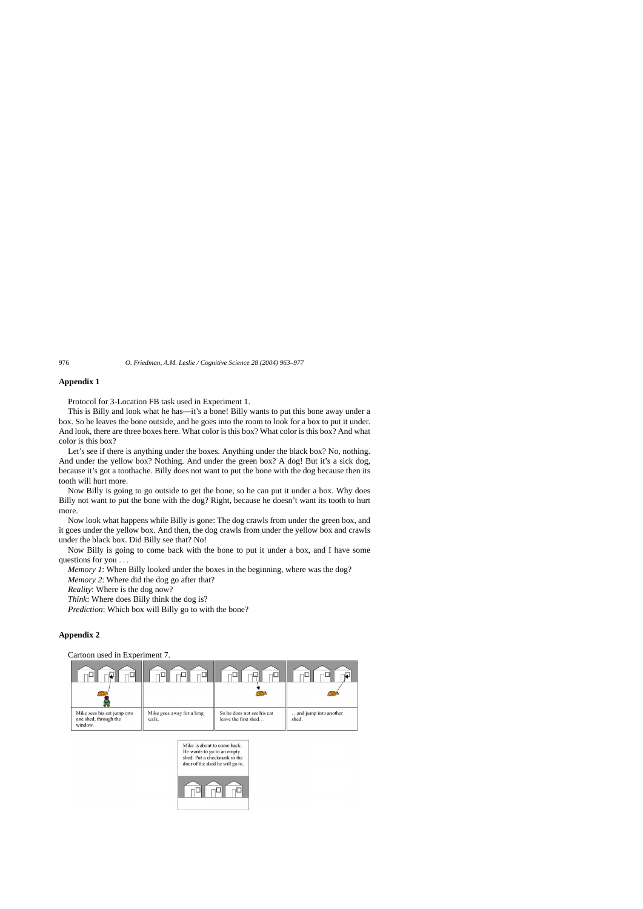# **Appendix 1**

Protocol for 3-Location FB task used in Experiment 1.

This is Billy and look what he has—it's a bone! Billy wants to put this bone away under a box. So he leaves the bone outside, and he goes into the room to look for a box to put it under. And look, there are three boxes here. What color is this box? What color is this box? And what color is this box?

Let's see if there is anything under the boxes. Anything under the black box? No, nothing. And under the yellow box? Nothing. And under the green box? A dog! But it's a sick dog, because it's got a toothache. Billy does not want to put the bone with the dog because then its tooth will hurt more.

Now Billy is going to go outside to get the bone, so he can put it under a box. Why does Billy not want to put the bone with the dog? Right, because he doesn't want its tooth to hurt more.

Now look what happens while Billy is gone: The dog crawls from under the green box, and it goes under the yellow box. And then, the dog crawls from under the yellow box and crawls under the black box. Did Billy see that? No!

Now Billy is going to come back with the bone to put it under a box, and I have some questions for you ...

*Memory 1*: When Billy looked under the boxes in the beginning, where was the dog?

*Memory 2*: Where did the dog go after that?

*Reality*: Where is the dog now?

*Think*: Where does Billy think the dog is?

*Prediction*: Which box will Billy go to with the bone?

# **Appendix 2**

Cartoon used in Experiment 7.